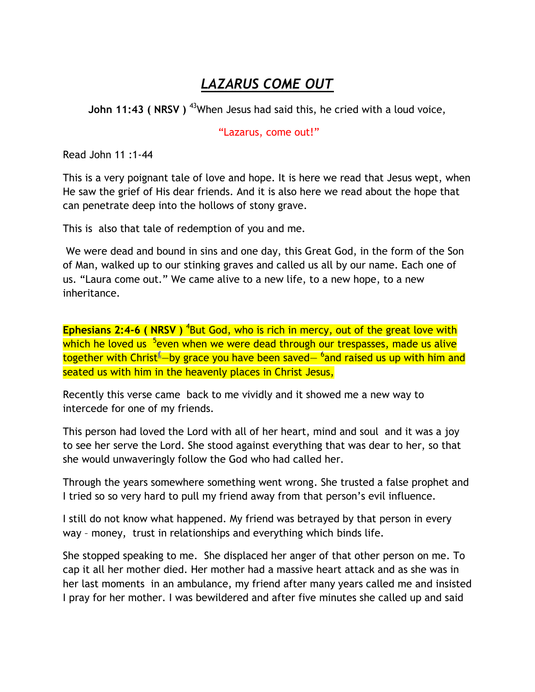## *LAZARUS COME OUT*

**John 11:43 ( NRSV** ) <sup>43</sup>When Jesus had said this, he cried with a loud voice,

## ―Lazarus, come out!‖

Read John 11 :1-44

This is a very poignant tale of love and hope. It is here we read that Jesus wept, when He saw the grief of His dear friends. And it is also here we read about the hope that can penetrate deep into the hollows of stony grave.

This is also that tale of redemption of you and me.

We were dead and bound in sins and one day, this Great God, in the form of the Son of Man, walked up to our stinking graves and called us all by our name. Each one of us. "Laura come out." We came alive to a new life, to a new hope, to a new inheritance.

Ephesians 2:4-6 ( NRSV ) <sup>4</sup>But God, who is rich in mercy, out of the great love with which he loved us <sup>5</sup>even when we were dead through our trespasses, made us alive [t](qv://steplinkto1%200000039244/)ogether with Christ<sup>⋸</sup>—by grace you have been saved— <sup>6</sup>and raised us up with him and seated us with him in the heavenly places in Christ Jesus,

Recently this verse came back to me vividly and it showed me a new way to intercede for one of my friends.

This person had loved the Lord with all of her heart, mind and soul and it was a joy to see her serve the Lord. She stood against everything that was dear to her, so that she would unwaveringly follow the God who had called her.

Through the years somewhere something went wrong. She trusted a false prophet and I tried so so very hard to pull my friend away from that person's evil influence.

I still do not know what happened. My friend was betrayed by that person in every way – money, trust in relationships and everything which binds life.

She stopped speaking to me. She displaced her anger of that other person on me. To cap it all her mother died. Her mother had a massive heart attack and as she was in her last moments in an ambulance, my friend after many years called me and insisted I pray for her mother. I was bewildered and after five minutes she called up and said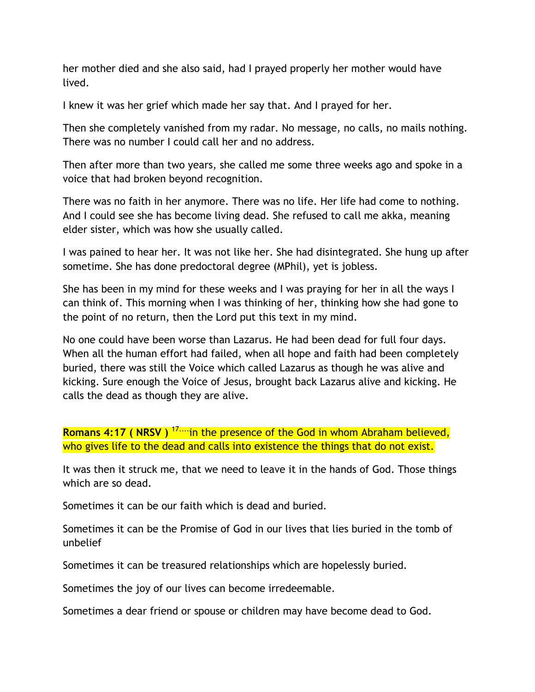her mother died and she also said, had I prayed properly her mother would have lived.

I knew it was her grief which made her say that. And I prayed for her.

Then she completely vanished from my radar. No message, no calls, no mails nothing. There was no number I could call her and no address.

Then after more than two years, she called me some three weeks ago and spoke in a voice that had broken beyond recognition.

There was no faith in her anymore. There was no life. Her life had come to nothing. And I could see she has become living dead. She refused to call me akka, meaning elder sister, which was how she usually called.

I was pained to hear her. It was not like her. She had disintegrated. She hung up after sometime. She has done predoctoral degree (MPhil), yet is jobless.

She has been in my mind for these weeks and I was praying for her in all the ways I can think of. This morning when I was thinking of her, thinking how she had gone to the point of no return, then the Lord put this text in my mind.

No one could have been worse than Lazarus. He had been dead for full four days. When all the human effort had failed, when all hope and faith had been completely buried, there was still the Voice which called Lazarus as though he was alive and kicking. Sure enough the Voice of Jesus, brought back Lazarus alive and kicking. He calls the dead as though they are alive.

**Romans 4:17 (NRSV)** <sup>17....</sup>in the presence of the God in whom Abraham believed, who gives life to the dead and calls into existence the things that do not exist.

It was then it struck me, that we need to leave it in the hands of God. Those things which are so dead.

Sometimes it can be our faith which is dead and buried.

Sometimes it can be the Promise of God in our lives that lies buried in the tomb of unbelief

Sometimes it can be treasured relationships which are hopelessly buried.

Sometimes the joy of our lives can become irredeemable.

Sometimes a dear friend or spouse or children may have become dead to God.